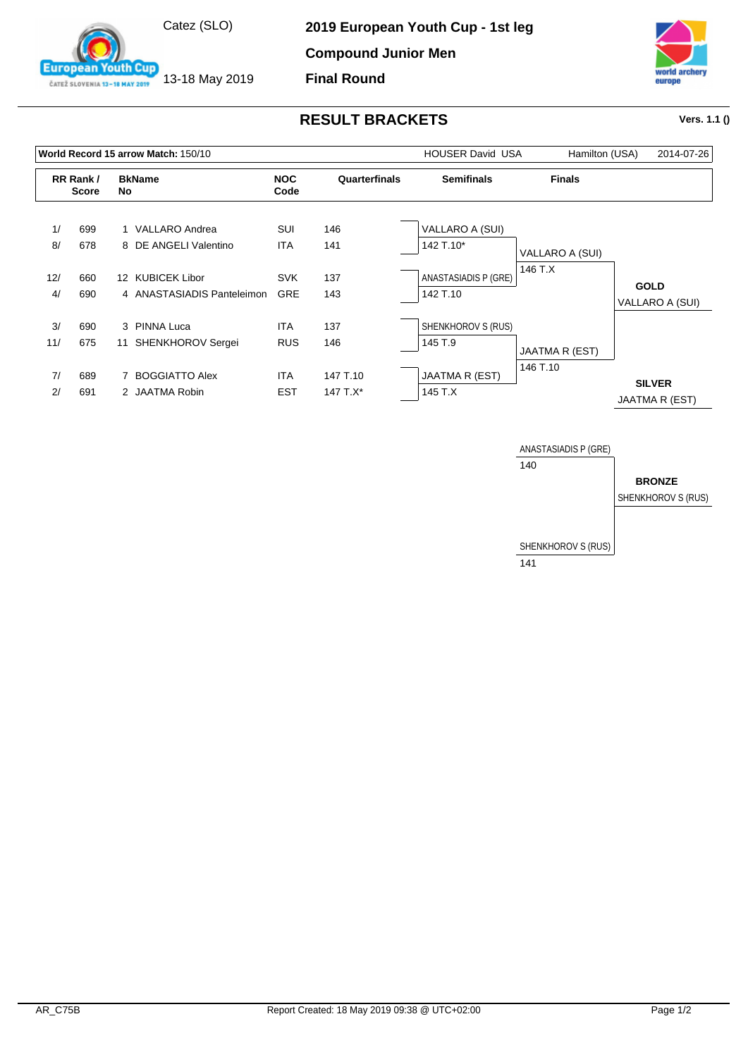

13-18 May 2019

outh Cup

**European** 

ČATEŽ SLOVENIA 13-18 MAY 2019

**Compound Junior Men**

**Final Round**



## **RESULT BRACKETS Vers. 1.1 ()**

|     |                          | World Record 15 arrow Match: 150/10 |                    | <b>HOUSER David USA</b> | Hamilton (USA)       | 2014-07-26      |                                 |
|-----|--------------------------|-------------------------------------|--------------------|-------------------------|----------------------|-----------------|---------------------------------|
|     | RR Rank/<br><b>Score</b> | <b>BkName</b><br>No                 | <b>NOC</b><br>Code | Quarterfinals           | <b>Semifinals</b>    | <b>Finals</b>   |                                 |
| 1/  | 699                      | 1 VALLARO Andrea                    | SUI                | 146                     | VALLARO A (SUI)      |                 |                                 |
| 8/  | 678                      | 8 DE ANGELI Valentino               | <b>ITA</b>         | 141                     | 142 T.10*            | VALLARO A (SUI) |                                 |
| 12/ | 660                      | 12 KUBICEK Libor                    | <b>SVK</b>         | 137                     | ANASTASIADIS P (GRE) | 146 T.X         |                                 |
| 4/  | 690                      | 4 ANASTASIADIS Panteleimon          | <b>GRE</b>         | 143                     | 142 T.10             |                 | <b>GOLD</b><br>VALLARO A (SUI)  |
| 3/  | 690                      | 3 PINNA Luca                        | <b>ITA</b>         | 137                     | SHENKHOROV S (RUS)   |                 |                                 |
| 11/ | 675                      | SHENKHOROV Sergei<br>11             | <b>RUS</b>         | 146                     | 145 T.9              | JAATMA R (EST)  |                                 |
| 7/  | 689                      | 7 BOGGIATTO Alex                    | <b>ITA</b>         | 147 T.10                | JAATMA R (EST)       | 146 T.10        |                                 |
| 2/  | 691                      | 2 JAATMA Robin                      | <b>EST</b>         | 147 $T.X^*$             | 145 T.X              |                 | <b>SILVER</b><br>JAATMA R (EST) |